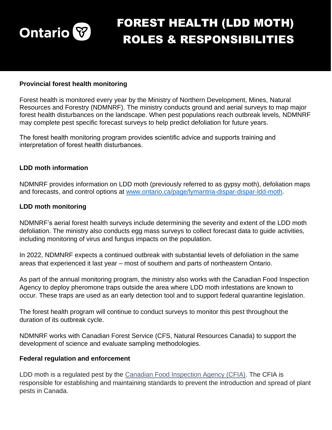

# FOREST HEALTH (LDD MOTH) ROLES & RESPONSIBILITIES

## **Provincial forest health monitoring**

Forest health is monitored every year by the Ministry of Northern Development, Mines, Natural Resources and Forestry (NDMNRF). The ministry conducts ground and aerial surveys to map major forest health disturbances on the landscape. When pest populations reach outbreak levels, NDMNRF may complete pest specific forecast surveys to help predict defoliation for future years.

The forest health monitoring program provides scientific advice and supports training and interpretation of forest health disturbances.

## **LDD moth information**

NDMNRF provides information on LDD moth (previously referred to as gypsy moth), defoliation maps and forecasts, and control options at [www.ontario.ca/page/lymantria-dispar-dispar-ldd-moth.](https://www.ontario.ca/page/lymantria-dispar-dispar-ldd-moth)

#### **LDD moth monitoring**

NDMNRF's aerial forest health surveys include determining the severity and extent of the LDD moth defoliation. The ministry also conducts egg mass surveys to collect forecast data to guide activities, including monitoring of virus and fungus impacts on the population.

In 2022, NDMNRF expects a continued outbreak with substantial levels of defoliation in the same areas that experienced it last year – most of southern and parts of northeastern Ontario.

As part of the annual monitoring program, the ministry also works with the Canadian Food Inspection Agency to deploy pheromone traps outside the area where LDD moth infestations are known to occur. These traps are used as an early detection tool and to support federal quarantine legislation.

The forest health program will continue to conduct surveys to monitor this pest throughout the duration of its outbreak cycle.

NDMNRF works with Canadian Forest Service (CFS, Natural Resources Canada) to support the development of science and evaluate sampling methodologies.

#### **Federal regulation and enforcement**

LDD moth is a regulated pest by the [Canadian Food Inspection Agency \(CFIA\).](https://www.inspection.gc.ca/plant-health/plant-pests-invasive-species/directives/forest-products/d-98-09/appendix-1/eng/1343832991660/1343834043533) The CFIA is responsible for establishing and maintaining standards to prevent the introduction and spread of plant pests in Canada.